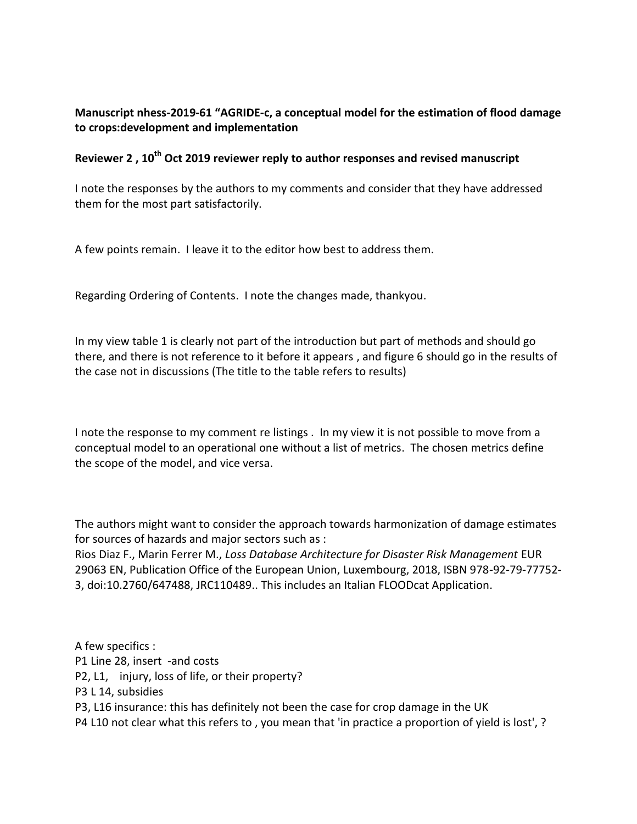## **Manuscript nhess-2019-61 "AGRIDE-c, a conceptual model for the estimation of flood damage to crops:development and implementation**

## **Reviewer 2 , 10th Oct 2019 reviewer reply to author responses and revised manuscript**

I note the responses by the authors to my comments and consider that they have addressed them for the most part satisfactorily.

A few points remain. I leave it to the editor how best to address them.

Regarding Ordering of Contents. I note the changes made, thankyou.

In my view table 1 is clearly not part of the introduction but part of methods and should go there, and there is not reference to it before it appears , and figure 6 should go in the results of the case not in discussions (The title to the table refers to results)

I note the response to my comment re listings . In my view it is not possible to move from a conceptual model to an operational one without a list of metrics. The chosen metrics define the scope of the model, and vice versa.

The authors might want to consider the approach towards harmonization of damage estimates for sources of hazards and major sectors such as :

Rios Diaz F., Marin Ferrer M., *Loss Database Architecture for Disaster Risk Management* EUR 29063 EN, Publication Office of the European Union, Luxembourg, 2018, ISBN 978-92-79-77752- 3, doi:10.2760/647488, JRC110489.. This includes an Italian FLOODcat Application.

A few specifics : P1 Line 28, insert -and costs P2, L1, injury, loss of life, or their property? P3 L 14, subsidies P3, L16 insurance: this has definitely not been the case for crop damage in the UK P4 L10 not clear what this refers to , you mean that 'in practice a proportion of yield is lost', ?